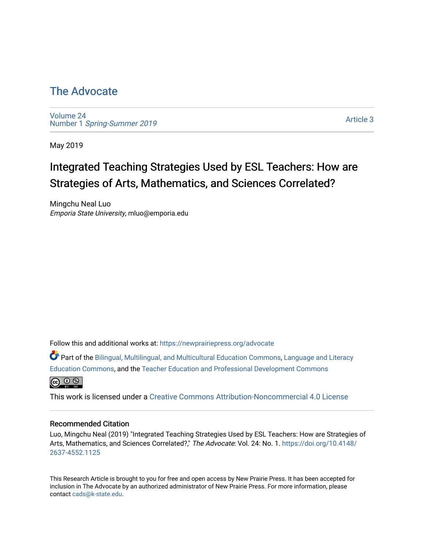## [The Advocate](https://newprairiepress.org/advocate)

[Volume 24](https://newprairiepress.org/advocate/vol24) Number 1 [Spring-Summer 2019](https://newprairiepress.org/advocate/vol24/iss1)

[Article 3](https://newprairiepress.org/advocate/vol24/iss1/3) 

May 2019

# Integrated Teaching Strategies Used by ESL Teachers: How are Strategies of Arts, Mathematics, and Sciences Correlated?

Mingchu Neal Luo Emporia State University, mluo@emporia.edu

Follow this and additional works at: [https://newprairiepress.org/advocate](https://newprairiepress.org/advocate?utm_source=newprairiepress.org%2Fadvocate%2Fvol24%2Fiss1%2F3&utm_medium=PDF&utm_campaign=PDFCoverPages) 

Part of the [Bilingual, Multilingual, and Multicultural Education Commons,](http://network.bepress.com/hgg/discipline/785?utm_source=newprairiepress.org%2Fadvocate%2Fvol24%2Fiss1%2F3&utm_medium=PDF&utm_campaign=PDFCoverPages) [Language and Literacy](http://network.bepress.com/hgg/discipline/1380?utm_source=newprairiepress.org%2Fadvocate%2Fvol24%2Fiss1%2F3&utm_medium=PDF&utm_campaign=PDFCoverPages) [Education Commons,](http://network.bepress.com/hgg/discipline/1380?utm_source=newprairiepress.org%2Fadvocate%2Fvol24%2Fiss1%2F3&utm_medium=PDF&utm_campaign=PDFCoverPages) and the [Teacher Education and Professional Development Commons](http://network.bepress.com/hgg/discipline/803?utm_source=newprairiepress.org%2Fadvocate%2Fvol24%2Fiss1%2F3&utm_medium=PDF&utm_campaign=PDFCoverPages)



This work is licensed under a [Creative Commons Attribution-Noncommercial 4.0 License](https://creativecommons.org/licenses/by-nc/4.0/)

#### Recommended Citation

Luo, Mingchu Neal (2019) "Integrated Teaching Strategies Used by ESL Teachers: How are Strategies of Arts, Mathematics, and Sciences Correlated?," The Advocate: Vol. 24: No. 1. [https://doi.org/10.4148/](https://doi.org/10.4148/2637-4552.1125) [2637-4552.1125](https://doi.org/10.4148/2637-4552.1125) 

This Research Article is brought to you for free and open access by New Prairie Press. It has been accepted for inclusion in The Advocate by an authorized administrator of New Prairie Press. For more information, please contact [cads@k-state.edu](mailto:cads@k-state.edu).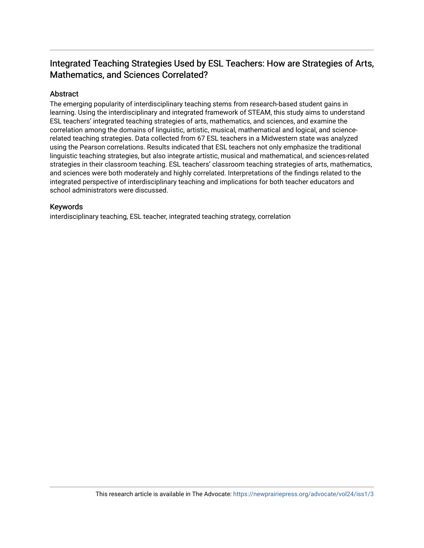## Integrated Teaching Strategies Used by ESL Teachers: How are Strategies of Arts, Mathematics, and Sciences Correlated?

### Abstract

The emerging popularity of interdisciplinary teaching stems from research-based student gains in learning. Using the interdisciplinary and integrated framework of STEAM, this study aims to understand ESL teachers' integrated teaching strategies of arts, mathematics, and sciences, and examine the correlation among the domains of linguistic, artistic, musical, mathematical and logical, and sciencerelated teaching strategies. Data collected from 67 ESL teachers in a Midwestern state was analyzed using the Pearson correlations. Results indicated that ESL teachers not only emphasize the traditional linguistic teaching strategies, but also integrate artistic, musical and mathematical, and sciences-related strategies in their classroom teaching. ESL teachers' classroom teaching strategies of arts, mathematics, and sciences were both moderately and highly correlated. Interpretations of the findings related to the integrated perspective of interdisciplinary teaching and implications for both teacher educators and school administrators were discussed.

### Keywords

interdisciplinary teaching, ESL teacher, integrated teaching strategy, correlation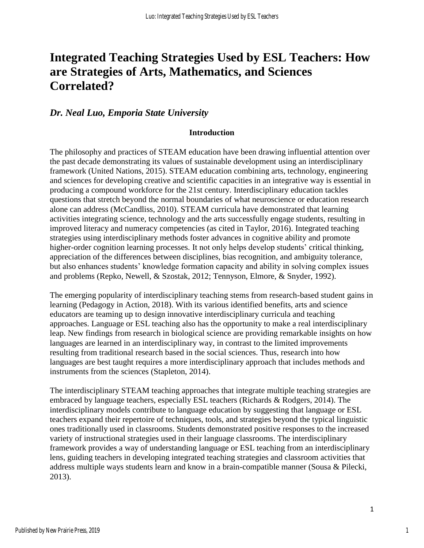## **Integrated Teaching Strategies Used by ESL Teachers: How are Strategies of Arts, Mathematics, and Sciences Correlated?**

## *Dr. Neal Luo, Emporia State University*

### **Introduction**

The philosophy and practices of STEAM education have been drawing influential attention over the past decade demonstrating its values of sustainable development using an interdisciplinary framework (United Nations, 2015). STEAM education combining arts, technology, engineering and sciences for developing creative and scientific capacities in an integrative way is essential in producing a compound workforce for the 21st century. Interdisciplinary education tackles questions that stretch beyond the normal boundaries of what neuroscience or education research alone can address (McCandliss, 2010). STEAM curricula have demonstrated that learning activities integrating science, technology and the arts successfully engage students, resulting in improved literacy and numeracy competencies (as cited in Taylor, 2016). Integrated teaching strategies using interdisciplinary methods foster advances in cognitive ability and promote higher-order cognition learning processes. It not only helps develop students' critical thinking, appreciation of the differences between disciplines, bias recognition, and ambiguity tolerance, but also enhances students' knowledge formation capacity and ability in solving complex issues and problems (Repko, Newell, & Szostak, 2012; Tennyson, Elmore, & Snyder, 1992).

The emerging popularity of interdisciplinary teaching stems from research-based student gains in learning (Pedagogy in Action, 2018). With its various identified benefits, arts and science educators are teaming up to design innovative interdisciplinary curricula and teaching approaches. Language or ESL teaching also has the opportunity to make a real interdisciplinary leap. New findings from research in biological science are providing remarkable insights on how languages are learned in an interdisciplinary way, in contrast to the limited improvements resulting from traditional research based in the social sciences. Thus, research into how languages are best taught requires a more interdisciplinary approach that includes methods and instruments from the sciences (Stapleton, 2014).

The interdisciplinary STEAM teaching approaches that integrate multiple teaching strategies are embraced by language teachers, especially ESL teachers (Richards & Rodgers, 2014). The interdisciplinary models contribute to language education by suggesting that language or ESL teachers expand their repertoire of techniques, tools, and strategies beyond the typical linguistic ones traditionally used in classrooms. Students demonstrated positive responses to the increased variety of instructional strategies used in their language classrooms. The interdisciplinary framework provides a way of understanding language or ESL teaching from an interdisciplinary lens, guiding teachers in developing integrated teaching strategies and classroom activities that address multiple ways students learn and know in a brain-compatible manner (Sousa & Pilecki, 2013).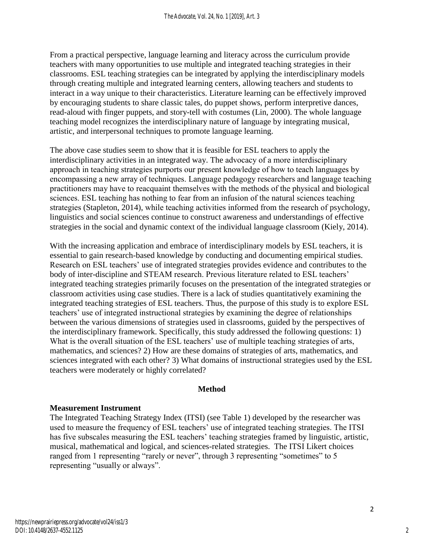From a practical perspective, language learning and literacy across the curriculum provide teachers with many opportunities to use multiple and integrated teaching strategies in their classrooms. ESL teaching strategies can be integrated by applying the interdisciplinary models through creating multiple and integrated learning centers, allowing teachers and students to interact in a way unique to their characteristics. Literature learning can be effectively improved by encouraging students to share classic tales, do puppet shows, perform interpretive dances, read-aloud with finger puppets, and story-tell with costumes (Lin, 2000). The whole language teaching model recognizes the interdisciplinary nature of language by integrating musical, artistic, and interpersonal techniques to promote language learning.

The above case studies seem to show that it is feasible for ESL teachers to apply the interdisciplinary activities in an integrated way. The advocacy of a more interdisciplinary approach in teaching strategies purports our present knowledge of how to teach languages by encompassing a new array of techniques. Language pedagogy researchers and language teaching practitioners may have to reacquaint themselves with the methods of the physical and biological sciences. ESL teaching has nothing to fear from an infusion of the natural sciences teaching strategies (Stapleton, 2014), while teaching activities informed from the research of psychology, linguistics and social sciences continue to construct awareness and understandings of effective strategies in the social and dynamic context of the individual language classroom (Kiely, 2014).

With the increasing application and embrace of interdisciplinary models by ESL teachers, it is essential to gain research-based knowledge by conducting and documenting empirical studies. Research on ESL teachers' use of integrated strategies provides evidence and contributes to the body of inter-discipline and STEAM research. Previous literature related to ESL teachers' integrated teaching strategies primarily focuses on the presentation of the integrated strategies or classroom activities using case studies. There is a lack of studies quantitatively examining the integrated teaching strategies of ESL teachers. Thus, the purpose of this study is to explore ESL teachers' use of integrated instructional strategies by examining the degree of relationships between the various dimensions of strategies used in classrooms, guided by the perspectives of the interdisciplinary framework. Specifically, this study addressed the following questions: 1) What is the overall situation of the ESL teachers' use of multiple teaching strategies of arts, mathematics, and sciences? 2) How are these domains of strategies of arts, mathematics, and sciences integrated with each other? 3) What domains of instructional strategies used by the ESL teachers were moderately or highly correlated?

## **Method**

## **Measurement Instrument**

The Integrated Teaching Strategy Index (ITSI) (see Table 1) developed by the researcher was used to measure the frequency of ESL teachers' use of integrated teaching strategies. The ITSI has five subscales measuring the ESL teachers' teaching strategies framed by linguistic, artistic, musical, mathematical and logical, and sciences-related strategies. The ITSI Likert choices ranged from 1 representing "rarely or never", through 3 representing "sometimes" to 5 representing "usually or always".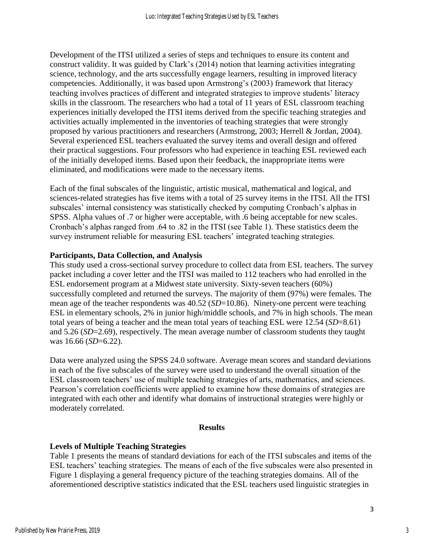Development of the ITSI utilized a series of steps and techniques to ensure its content and construct validity. It was guided by Clark's (2014) notion that learning activities integrating science, technology, and the arts successfully engage learners, resulting in improved literacy competencies. Additionally, it was based upon Armstrong's (2003) framework that literacy teaching involves practices of different and integrated strategies to improve students' literacy skills in the classroom. The researchers who had a total of 11 years of ESL classroom teaching experiences initially developed the ITSI items derived from the specific teaching strategies and activities actually implemented in the inventories of teaching strategies that were strongly proposed by various practitioners and researchers (Armstrong, 2003; Herrell & Jordan, 2004). Several experienced ESL teachers evaluated the survey items and overall design and offered their practical suggestions. Four professors who had experience in teaching ESL reviewed each of the initially developed items. Based upon their feedback, the inappropriate items were eliminated, and modifications were made to the necessary items.

Each of the final subscales of the linguistic, artistic musical, mathematical and logical, and sciences-related strategies has five items with a total of 25 survey items in the ITSI. All the ITSI subscales' internal consistency was statistically checked by computing Cronbach's alphas in SPSS. Alpha values of .7 or higher were acceptable, with .6 being acceptable for new scales. Cronbach's alphas ranged from .64 to .82 in the ITSI (see Table 1). These statistics deem the survey instrument reliable for measuring ESL teachers' integrated teaching strategies.

### **Participants, Data Collection, and Analysis**

This study used a cross-sectional survey procedure to collect data from ESL teachers. The survey packet including a cover letter and the ITSI was mailed to 112 teachers who had enrolled in the ESL endorsement program at a Midwest state university. Sixty-seven teachers (60%) successfully completed and returned the surveys. The majority of them (97%) were females. The mean age of the teacher respondents was 40.52 (*SD*=10.86). Ninety-one percent were teaching ESL in elementary schools, 2% in junior high/middle schools, and 7% in high schools. The mean total years of being a teacher and the mean total years of teaching ESL were 12.54 (*SD*=8.61) and 5.26 (*SD*=2.69), respectively. The mean average number of classroom students they taught was 16.66 (*SD*=6.22).

Data were analyzed using the SPSS 24.0 software. Average mean scores and standard deviations in each of the five subscales of the survey were used to understand the overall situation of the ESL classroom teachers' use of multiple teaching strategies of arts, mathematics, and sciences. Pearson's correlation coefficients were applied to examine how these domains of strategies are integrated with each other and identify what domains of instructional strategies were highly or moderately correlated.

#### **Results**

### **Levels of Multiple Teaching Strategies**

Table 1 presents the means of standard deviations for each of the ITSI subscales and items of the ESL teachers' teaching strategies. The means of each of the five subscales were also presented in Figure 1 displaying a general frequency picture of the teaching strategies domains. All of the aforementioned descriptive statistics indicated that the ESL teachers used linguistic strategies in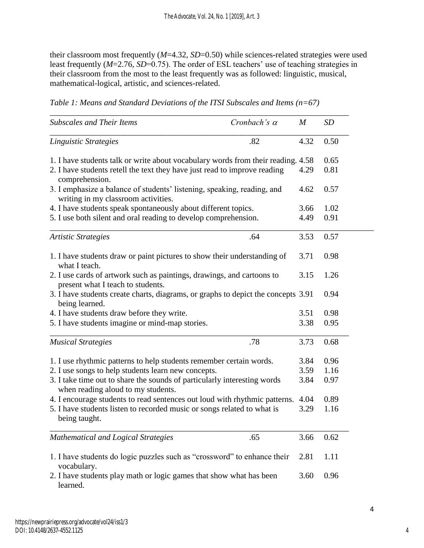their classroom most frequently (*M*=4.32, *SD*=0.50) while sciences-related strategies were used least frequently (*M*=2.76, *SD*=0.75). The order of ESL teachers' use of teaching strategies in their classroom from the most to the least frequently was as followed: linguistic, musical, mathematical-logical, artistic, and sciences-related.

*Table 1: Means and Standard Deviations of the ITSI Subscales and Items (n=67)*

| <b>Subscales and Their Items</b>                                                                               | Cronbach's $\alpha$ | $\boldsymbol{M}$ | <b>SD</b> |
|----------------------------------------------------------------------------------------------------------------|---------------------|------------------|-----------|
| Linguistic Strategies                                                                                          | .82                 | 4.32             | 0.50      |
| 1. I have students talk or write about vocabulary words from their reading. 4.58                               |                     |                  | 0.65      |
| 2. I have students retell the text they have just read to improve reading<br>comprehension.                    |                     | 4.29             | 0.81      |
| 3. I emphasize a balance of students' listening, speaking, reading, and<br>writing in my classroom activities. |                     | 4.62             | 0.57      |
| 4. I have students speak spontaneously about different topics.                                                 | 3.66                | 1.02             |           |
| 5. I use both silent and oral reading to develop comprehension.                                                | 4.49                | 0.91             |           |
| <b>Artistic Strategies</b>                                                                                     | .64                 | 3.53             | 0.57      |
| 1. I have students draw or paint pictures to show their understanding of<br>what I teach.                      | 3.71                | 0.98             |           |
| 2. I use cards of artwork such as paintings, drawings, and cartoons to<br>present what I teach to students.    |                     | 3.15             | 1.26      |
| 3. I have students create charts, diagrams, or graphs to depict the concepts 3.91<br>being learned.            |                     |                  | 0.94      |
| 4. I have students draw before they write.                                                                     |                     | 3.51             | 0.98      |
| 5. I have students imagine or mind-map stories.                                                                |                     | 3.38             | 0.95      |
| <b>Musical Strategies</b>                                                                                      | .78                 | 3.73             | 0.68      |
| 1. I use rhythmic patterns to help students remember certain words.                                            |                     | 3.84             | 0.96      |
| 2. I use songs to help students learn new concepts.                                                            | 3.59                | 1.16             |           |
| 3. I take time out to share the sounds of particularly interesting words<br>when reading aloud to my students. |                     | 3.84             | 0.97      |
| 4. I encourage students to read sentences out loud with rhythmic patterns.                                     |                     | 4.04             | 0.89      |
| 5. I have students listen to recorded music or songs related to what is<br>being taught.                       |                     | 3.29             | 1.16      |
| Mathematical and Logical Strategies                                                                            | .65                 | 3.66             | 0.62      |
| 1. I have students do logic puzzles such as "crossword" to enhance their<br>vocabulary.                        | 2.81                | 1.11             |           |
| 2. I have students play math or logic games that show what has been<br>learned.                                |                     | 3.60             | 0.96      |

4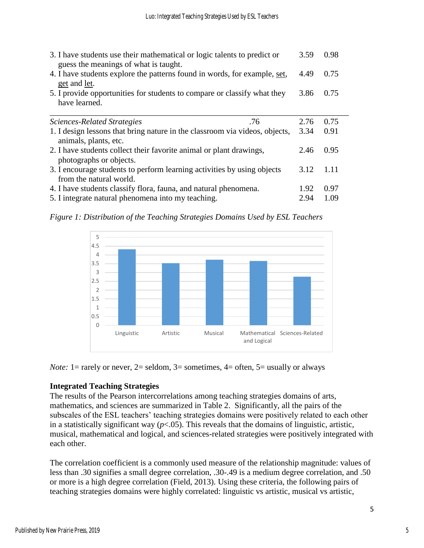| 3. I have students use their mathematical or logic talents to predict or<br>guess the meanings of what is taught. | 3.59 | 0.98 |  |
|-------------------------------------------------------------------------------------------------------------------|------|------|--|
| 4. I have students explore the patterns found in words, for example, set,<br>get and let.                         | 4.49 | 0.75 |  |
| 5. I provide opportunities for students to compare or classify what they<br>have learned.                         | 3.86 | 0.75 |  |
| Sciences-Related Strategies<br>.76                                                                                | 2.76 | 0.75 |  |
| 1. I design lessons that bring nature in the classroom via videos, objects,<br>animals, plants, etc.              | 3.34 | 0.91 |  |
| 2. I have students collect their favorite animal or plant drawings,<br>photographs or objects.                    | 2.46 | 0.95 |  |
| 3. I encourage students to perform learning activities by using objects<br>from the natural world.                | 3.12 | 1.11 |  |
| 4. I have students classify flora, fauna, and natural phenomena.                                                  | 1.92 | 0.97 |  |
| 5. I integrate natural phenomena into my teaching.                                                                | 2.94 | 1.09 |  |

*Figure 1: Distribution of the Teaching Strategies Domains Used by ESL Teachers*



*Note:* 1 = rarely or never, 2 = seldom, 3 = sometimes, 4 = often, 5 = usually or always

## **Integrated Teaching Strategies**

The results of the Pearson intercorrelations among teaching strategies domains of arts, mathematics, and sciences are summarized in Table 2. Significantly, all the pairs of the subscales of the ESL teachers' teaching strategies domains were positively related to each other in a statistically significant way  $(p<0.05)$ . This reveals that the domains of linguistic, artistic, musical, mathematical and logical, and sciences-related strategies were positively integrated with each other.

The correlation coefficient is a commonly used measure of the relationship magnitude: values of less than .30 signifies a small degree correlation, .30-.49 is a medium degree correlation, and .50 or more is a high degree correlation (Field, 2013). Using these criteria, the following pairs of teaching strategies domains were highly correlated: linguistic vs artistic, musical vs artistic,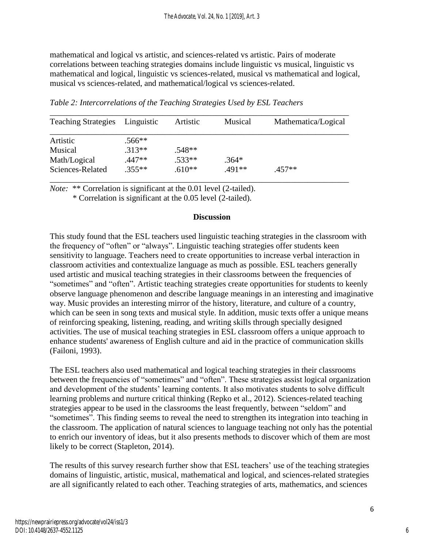mathematical and logical vs artistic, and sciences-related vs artistic. Pairs of moderate correlations between teaching strategies domains include linguistic vs musical, linguistic vs mathematical and logical, linguistic vs sciences-related, musical vs mathematical and logical, musical vs sciences-related, and mathematical/logical vs sciences-related.

| <b>Teaching Strategies</b> | Linguistic | Artistic | Musical | Mathematica/Logical |
|----------------------------|------------|----------|---------|---------------------|
| Artistic                   | $.566**$   |          |         |                     |
| Musical                    | $.313**$   | $.548**$ |         |                     |
| Math/Logical               | .447**     | $.533**$ | $.364*$ |                     |
| Sciences-Related           | $.355**$   | $.610**$ | .491**  | $.457**$            |

*Table 2: Intercorrelations of the Teaching Strategies Used by ESL Teachers*

*Note:* \*\* Correlation is significant at the 0.01 level (2-tailed).

\* Correlation is significant at the 0.05 level (2-tailed).

## **Discussion**

This study found that the ESL teachers used linguistic teaching strategies in the classroom with the frequency of "often" or "always". Linguistic teaching strategies offer students keen sensitivity to language. Teachers need to create opportunities to increase verbal interaction in classroom activities and contextualize language as much as possible. ESL teachers generally used artistic and musical teaching strategies in their classrooms between the frequencies of "sometimes" and "often". Artistic teaching strategies create opportunities for students to keenly observe language phenomenon and describe language meanings in an interesting and imaginative way. Music provides an interesting mirror of the history, literature, and culture of a country, which can be seen in song texts and musical style. In addition, music texts offer a unique means of reinforcing speaking, listening, reading, and writing skills through specially designed activities. The use of musical teaching strategies in ESL classroom offers a unique approach to enhance students' awareness of English culture and aid in the practice of communication skills (Failoni, 1993).

The ESL teachers also used mathematical and logical teaching strategies in their classrooms between the frequencies of "sometimes" and "often". These strategies assist logical organization and development of the students' learning contents. It also motivates students to solve difficult learning problems and nurture critical thinking (Repko et al., 2012). Sciences-related teaching strategies appear to be used in the classrooms the least frequently, between "seldom" and "sometimes". This finding seems to reveal the need to strengthen its integration into teaching in the classroom. The application of natural sciences to language teaching not only has the potential to enrich our inventory of ideas, but it also presents methods to discover which of them are most likely to be correct (Stapleton, 2014).

The results of this survey research further show that ESL teachers' use of the teaching strategies domains of linguistic, artistic, musical, mathematical and logical, and sciences-related strategies are all significantly related to each other. Teaching strategies of arts, mathematics, and sciences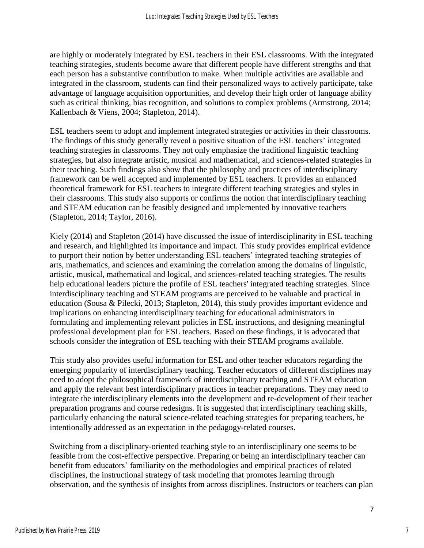are highly or moderately integrated by ESL teachers in their ESL classrooms. With the integrated teaching strategies, students become aware that different people have different strengths and that each person has a substantive contribution to make. When multiple activities are available and integrated in the classroom, students can find their personalized ways to actively participate, take advantage of language acquisition opportunities, and develop their high order of language ability such as critical thinking, bias recognition, and solutions to complex problems (Armstrong, 2014; Kallenbach & Viens, 2004; Stapleton, 2014).

ESL teachers seem to adopt and implement integrated strategies or activities in their classrooms. The findings of this study generally reveal a positive situation of the ESL teachers' integrated teaching strategies in classrooms. They not only emphasize the traditional linguistic teaching strategies, but also integrate artistic, musical and mathematical, and sciences-related strategies in their teaching. Such findings also show that the philosophy and practices of interdisciplinary framework can be well accepted and implemented by ESL teachers. It provides an enhanced theoretical framework for ESL teachers to integrate different teaching strategies and styles in their classrooms. This study also supports or confirms the notion that interdisciplinary teaching and STEAM education can be feasibly designed and implemented by innovative teachers (Stapleton, 2014; Taylor, 2016).

Kiely (2014) and Stapleton (2014) have discussed the issue of interdisciplinarity in ESL teaching and research, and highlighted its importance and impact. This study provides empirical evidence to purport their notion by better understanding ESL teachers' integrated teaching strategies of arts, mathematics, and sciences and examining the correlation among the domains of linguistic, artistic, musical, mathematical and logical, and sciences-related teaching strategies. The results help educational leaders picture the profile of ESL teachers' integrated teaching strategies. Since interdisciplinary teaching and STEAM programs are perceived to be valuable and practical in education (Sousa & Pilecki, 2013; Stapleton, 2014), this study provides important evidence and implications on enhancing interdisciplinary teaching for educational administrators in formulating and implementing relevant policies in ESL instructions, and designing meaningful professional development plan for ESL teachers. Based on these findings, it is advocated that schools consider the integration of ESL teaching with their STEAM programs available.

This study also provides useful information for ESL and other teacher educators regarding the emerging popularity of interdisciplinary teaching. Teacher educators of different disciplines may need to adopt the philosophical framework of interdisciplinary teaching and STEAM education and apply the relevant best interdisciplinary practices in teacher preparations. They may need to integrate the interdisciplinary elements into the development and re-development of their teacher preparation programs and course redesigns. It is suggested that interdisciplinary teaching skills, particularly enhancing the natural science-related teaching strategies for preparing teachers, be intentionally addressed as an expectation in the pedagogy-related courses.

Switching from a disciplinary-oriented teaching style to an interdisciplinary one seems to be feasible from the cost-effective perspective. Preparing or being an interdisciplinary teacher can benefit from educators' familiarity on the methodologies and empirical practices of related disciplines, the instructional strategy of task modeling that promotes learning through observation, and the synthesis of insights from across disciplines. Instructors or teachers can plan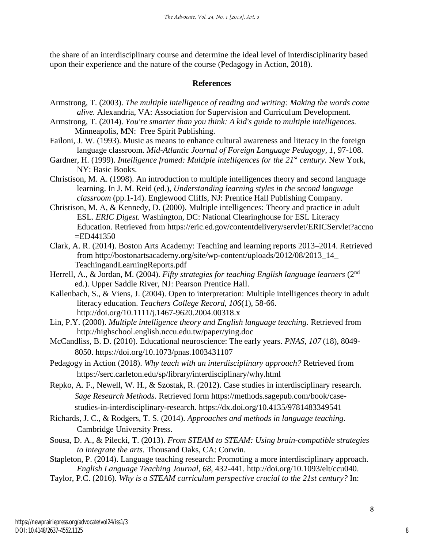the share of an interdisciplinary course and determine the ideal level of interdisciplinarity based upon their experience and the nature of the course (Pedagogy in Action, 2018).

## **References**

- Armstrong, T. (2003). *The multiple intelligence of reading and writing: Making the words come alive.* Alexandria, VA: Association for Supervision and Curriculum Development.
- Armstrong, T. (2014). *You're smarter than you think: A kid's guide to multiple intelligences.* Minneapolis, MN: Free Spirit Publishing.
- Failoni, J. W. (1993). Music as means to enhance cultural awareness and literacy in the foreign language classroom. *Mid-Atlantic Journal of Foreign Language Pedagogy, 1*, 97-108.
- Gardner, H. (1999). *Intelligence framed: Multiple intelligences for the 21<sup>st</sup> century.* New York, NY: Basic Books.
- Christison, M. A. (1998). An introduction to multiple intelligences theory and second language learning. In J. M. Reid (ed.), *Understanding learning styles in the second language classroom* (pp.1-14). Englewood Cliffs, NJ: Prentice Hall Publishing Company.
- Christison, M. A, & Kennedy, D. (2000). Multiple intelligences: Theory and practice in adult ESL. *ERIC Digest.* Washington, DC: National Clearinghouse for ESL Literacy Education. Retrieved from https://eric.ed.gov/contentdelivery/servlet/ERICServlet?accno =ED441350
- Clark, A. R. (2014). Boston Arts Academy: Teaching and learning reports 2013–2014. Retrieved from http://bostonartsacademy.org/site/wp-content/uploads/2012/08/2013\_14\_ TeachingandLearningReports.pdf
- Herrell, A., & Jordan, M. (2004). *Fifty strategies for teaching English language learners* (2<sup>nd</sup> ed.). Upper Saddle River, NJ: Pearson Prentice Hall.
- Kallenbach, S., & Viens, J. (2004). Open to interpretation: Multiple intelligences theory in adult literacy education. *Teachers College Record*, *106*(1), 58-66. http://doi.org/10.1111/j.1467-9620.2004.00318.x
- Lin, P.Y. (2000). *Multiple intelligence theory and English language teaching*. Retrieved from http://highschool.english.nccu.edu.tw/paper/ying.doc
- McCandliss, B. D. (2010). Educational neuroscience: The early years. *PNAS, 107* (18), 8049- 8050. https://doi.org/10.1073/pnas.1003431107
- Pedagogy in Action (2018). *Why teach with an interdisciplinary approach?* Retrieved from https://serc.carleton.edu/sp/library/interdisciplinary/why.html
- Repko, A. F., Newell, W. H., & Szostak, R. (2012). Case studies in interdisciplinary research. *Sage Research Methods*. Retrieved form https://methods.sagepub.com/book/casestudies-in-interdisciplinary-research. https://dx.doi.org/10.4135/9781483349541
- Richards, J. C., & Rodgers, T. S. (2014). *Approaches and methods in language teaching*. Cambridge University Press.
- Sousa, D. A., & Pilecki, T. (2013). *From STEAM to STEAM: Using brain-compatible strategies to integrate the arts.* Thousand Oaks, CA: Corwin.
- Stapleton, P. (2014). Language teaching research: Promoting a more interdisciplinary approach. *English Language Teaching Journal, 68,* 432-441. http://doi.org/10.1093/elt/ccu040.
- Taylor, P.C. (2016). *Why is a STEAM curriculum perspective crucial to the 21st century?* In: